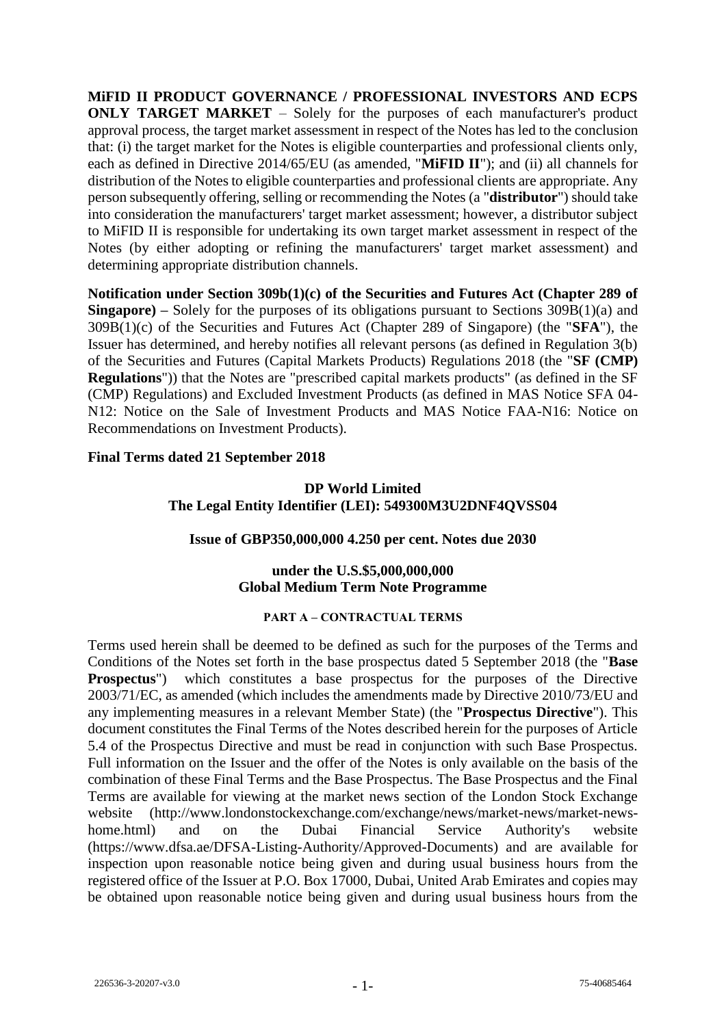**MiFID II PRODUCT GOVERNANCE / PROFESSIONAL INVESTORS AND ECPS ONLY TARGET MARKET** – Solely for the purposes of each manufacturer's product approval process, the target market assessment in respect of the Notes has led to the conclusion that: (i) the target market for the Notes is eligible counterparties and professional clients only, each as defined in Directive 2014/65/EU (as amended, "**MiFID II**"); and (ii) all channels for distribution of the Notes to eligible counterparties and professional clients are appropriate. Any person subsequently offering, selling or recommending the Notes (a "**distributor**") should take into consideration the manufacturers' target market assessment; however, a distributor subject to MiFID II is responsible for undertaking its own target market assessment in respect of the Notes (by either adopting or refining the manufacturers' target market assessment) and determining appropriate distribution channels.

**Notification under Section 309b(1)(c) of the Securities and Futures Act (Chapter 289 of Singapore) –** Solely for the purposes of its obligations pursuant to Sections 309B(1)(a) and 309B(1)(c) of the Securities and Futures Act (Chapter 289 of Singapore) (the "**SFA**"), the Issuer has determined, and hereby notifies all relevant persons (as defined in Regulation 3(b) of the Securities and Futures (Capital Markets Products) Regulations 2018 (the "**SF (CMP) Regulations**")) that the Notes are "prescribed capital markets products" (as defined in the SF (CMP) Regulations) and Excluded Investment Products (as defined in MAS Notice SFA 04- N12: Notice on the Sale of Investment Products and MAS Notice FAA-N16: Notice on Recommendations on Investment Products).

#### **Final Terms dated 21 September 2018**

## **DP World Limited The Legal Entity Identifier (LEI): 549300M3U2DNF4QVSS04**

#### **Issue of GBP350,000,000 4.250 per cent. Notes due 2030**

#### **under the U.S.\$5,000,000,000 Global Medium Term Note Programme**

#### **PART A – CONTRACTUAL TERMS**

Terms used herein shall be deemed to be defined as such for the purposes of the Terms and Conditions of the Notes set forth in the base prospectus dated 5 September 2018 (the "**Base Prospectus**") which constitutes a base prospectus for the purposes of the Directive 2003/71/EC, as amended (which includes the amendments made by Directive 2010/73/EU and any implementing measures in a relevant Member State) (the "**Prospectus Directive**"). This document constitutes the Final Terms of the Notes described herein for the purposes of Article 5.4 of the Prospectus Directive and must be read in conjunction with such Base Prospectus. Full information on the Issuer and the offer of the Notes is only available on the basis of the combination of these Final Terms and the Base Prospectus. The Base Prospectus and the Final Terms are available for viewing at the market news section of the London Stock Exchange website (http://www.londonstockexchange.com/exchange/news/market-news/market-newshome.html) and on the Dubai Financial Service Authority's website (https://www.dfsa.ae/DFSA-Listing-Authority/Approved-Documents) and are available for inspection upon reasonable notice being given and during usual business hours from the registered office of the Issuer at P.O. Box 17000, Dubai, United Arab Emirates and copies may be obtained upon reasonable notice being given and during usual business hours from the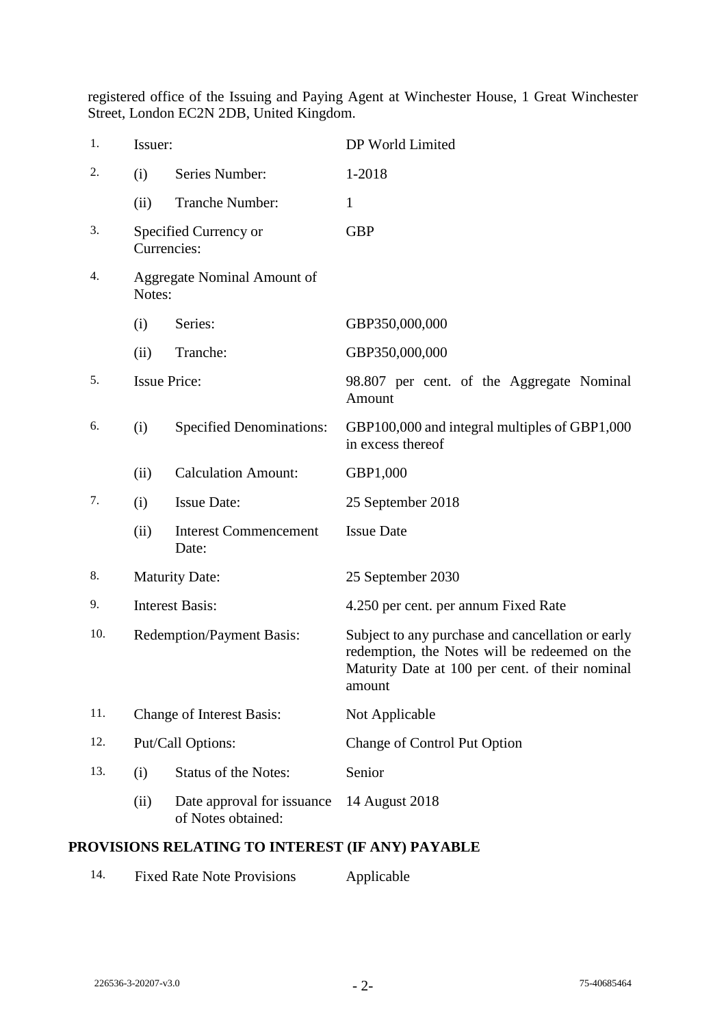registered office of the Issuing and Paying Agent at Winchester House, 1 Great Winchester Street, London EC2N 2DB, United Kingdom.

| 1.  | Issuer:                               |                                                  | DP World Limited                                                                                                                                                |
|-----|---------------------------------------|--------------------------------------------------|-----------------------------------------------------------------------------------------------------------------------------------------------------------------|
| 2.  | (i)                                   | Series Number:                                   | 1-2018                                                                                                                                                          |
|     | (ii)                                  | <b>Tranche Number:</b>                           | $\mathbf{1}$                                                                                                                                                    |
| 3.  | Currencies:                           | Specified Currency or                            | <b>GBP</b>                                                                                                                                                      |
| 4.  | Aggregate Nominal Amount of<br>Notes: |                                                  |                                                                                                                                                                 |
|     | (i)                                   | Series:                                          | GBP350,000,000                                                                                                                                                  |
|     | (ii)                                  | Tranche:                                         | GBP350,000,000                                                                                                                                                  |
| 5.  | <b>Issue Price:</b>                   |                                                  | 98.807 per cent. of the Aggregate Nominal<br>Amount                                                                                                             |
| 6.  | (i)                                   | <b>Specified Denominations:</b>                  | GBP100,000 and integral multiples of GBP1,000<br>in excess thereof                                                                                              |
|     | (ii)                                  | <b>Calculation Amount:</b>                       | GBP1,000                                                                                                                                                        |
| 7.  | (i)                                   | <b>Issue Date:</b>                               | 25 September 2018                                                                                                                                               |
|     | (ii)                                  | <b>Interest Commencement</b><br>Date:            | <b>Issue Date</b>                                                                                                                                               |
| 8.  | <b>Maturity Date:</b>                 |                                                  | 25 September 2030                                                                                                                                               |
| 9.  | <b>Interest Basis:</b>                |                                                  | 4.250 per cent. per annum Fixed Rate                                                                                                                            |
| 10. | <b>Redemption/Payment Basis:</b>      |                                                  | Subject to any purchase and cancellation or early<br>redemption, the Notes will be redeemed on the<br>Maturity Date at 100 per cent. of their nominal<br>amount |
| 11. | <b>Change of Interest Basis:</b>      |                                                  | Not Applicable                                                                                                                                                  |
| 12. | Put/Call Options:                     |                                                  | Change of Control Put Option                                                                                                                                    |
| 13. | (i)                                   | <b>Status of the Notes:</b>                      | Senior                                                                                                                                                          |
|     | (ii)                                  | Date approval for issuance<br>of Notes obtained: | 14 August 2018                                                                                                                                                  |

# **PROVISIONS RELATING TO INTEREST (IF ANY) PAYABLE**

14. Fixed Rate Note Provisions Applicable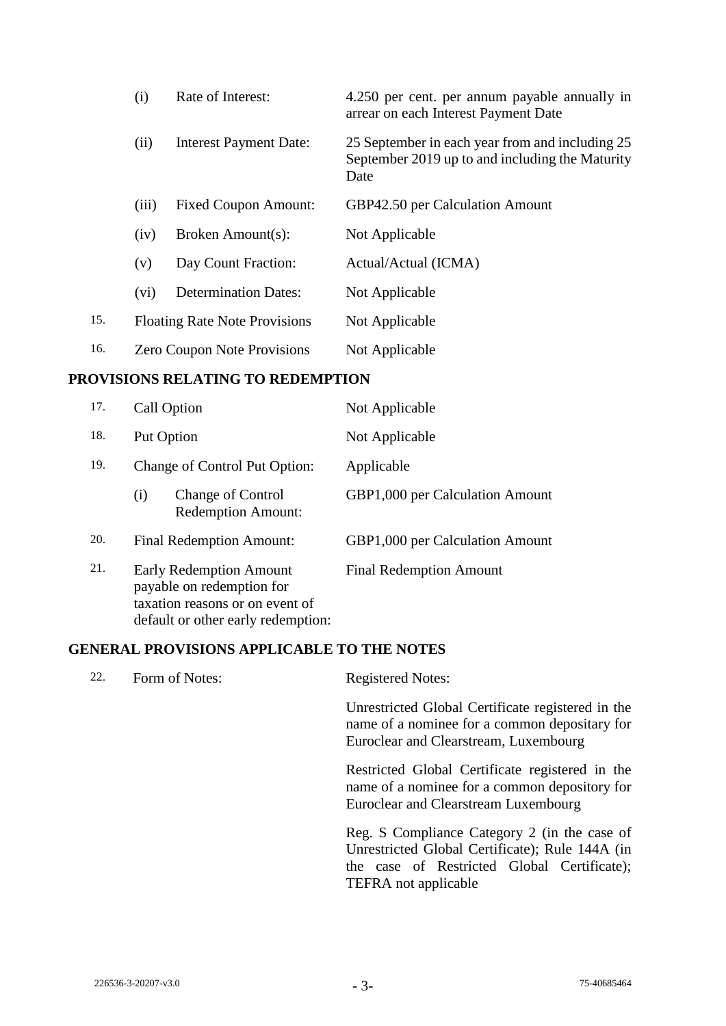|     | (i)     | Rate of Interest:                    | 4.250 per cent. per annum payable annually in<br>arrear on each Interest Payment Date                      |
|-----|---------|--------------------------------------|------------------------------------------------------------------------------------------------------------|
|     | (ii)    | <b>Interest Payment Date:</b>        | 25 September in each year from and including 25<br>September 2019 up to and including the Maturity<br>Date |
|     | (iii)   | <b>Fixed Coupon Amount:</b>          | GBP42.50 per Calculation Amount                                                                            |
|     | (iv)    | Broken Amount(s):                    | Not Applicable                                                                                             |
|     | (v)     | Day Count Fraction:                  | Actual/Actual (ICMA)                                                                                       |
|     | $(v_i)$ | <b>Determination Dates:</b>          | Not Applicable                                                                                             |
| 15. |         | <b>Floating Rate Note Provisions</b> | Not Applicable                                                                                             |
| 16. |         | <b>Zero Coupon Note Provisions</b>   | Not Applicable                                                                                             |

#### **PROVISIONS RELATING TO REDEMPTION**

| 17. | Call Option                                                                                                                          | Not Applicable                  |
|-----|--------------------------------------------------------------------------------------------------------------------------------------|---------------------------------|
| 18. | Put Option                                                                                                                           | Not Applicable                  |
| 19. | <b>Change of Control Put Option:</b>                                                                                                 | Applicable                      |
|     | <b>Change of Control</b><br>(i)<br><b>Redemption Amount:</b>                                                                         | GBP1,000 per Calculation Amount |
| 20. | <b>Final Redemption Amount:</b>                                                                                                      | GBP1,000 per Calculation Amount |
| 21. | <b>Early Redemption Amount</b><br>payable on redemption for<br>taxation reasons or on event of<br>default or other early redemption: | <b>Final Redemption Amount</b>  |

# **GENERAL PROVISIONS APPLICABLE TO THE NOTES**

| 22. | Form of Notes: | <b>Registered Notes:</b>                                                                                                                       |
|-----|----------------|------------------------------------------------------------------------------------------------------------------------------------------------|
|     |                | Unrestricted Global Certificate registered in the<br>name of a nominee for a common depositary for<br>Euroclear and Clearstream, Luxembourg    |
|     |                | Restricted Global Certificate registered in the<br>name of a nominee for a common depository for<br>Euroclear and Clearstream Luxembourg       |
|     |                | Reg. S Compliance Category 2 (in the case of<br>Unrestricted Global Certificate); Rule 144A (in<br>the case of Restricted Global Certificate); |

TEFRA not applicable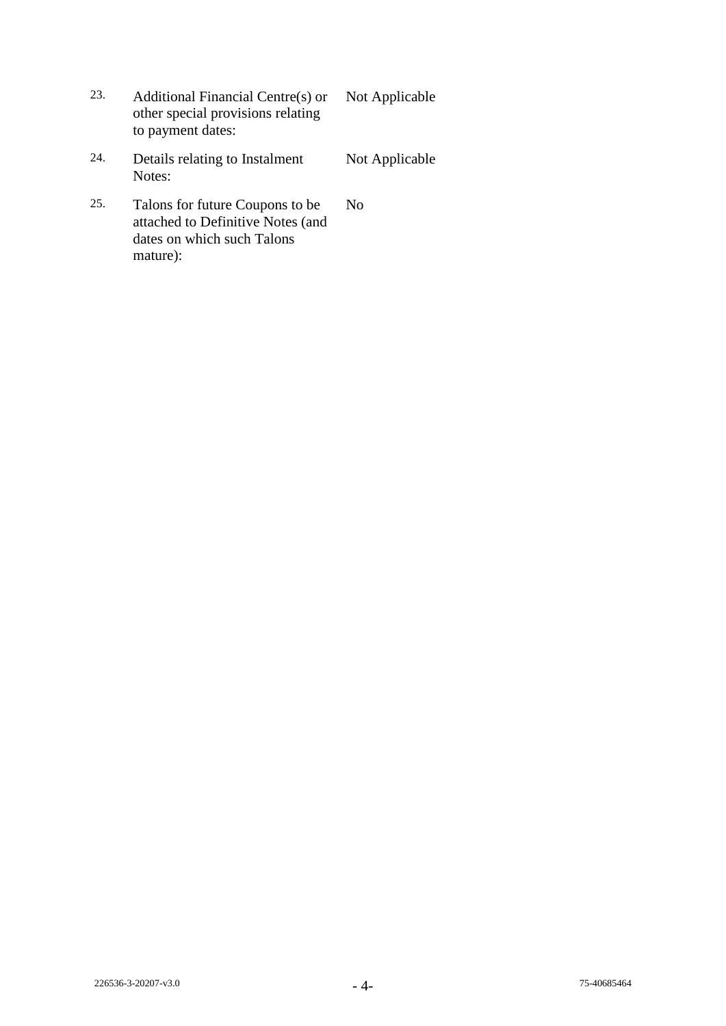- 23. Additional Financial Centre(s) or other special provisions relating to payment dates: Not Applicable
- 24. Details relating to Instalment Notes: Not Applicable
- 25. Talons for future Coupons to be attached to Definitive Notes (and dates on which such Talons mature): No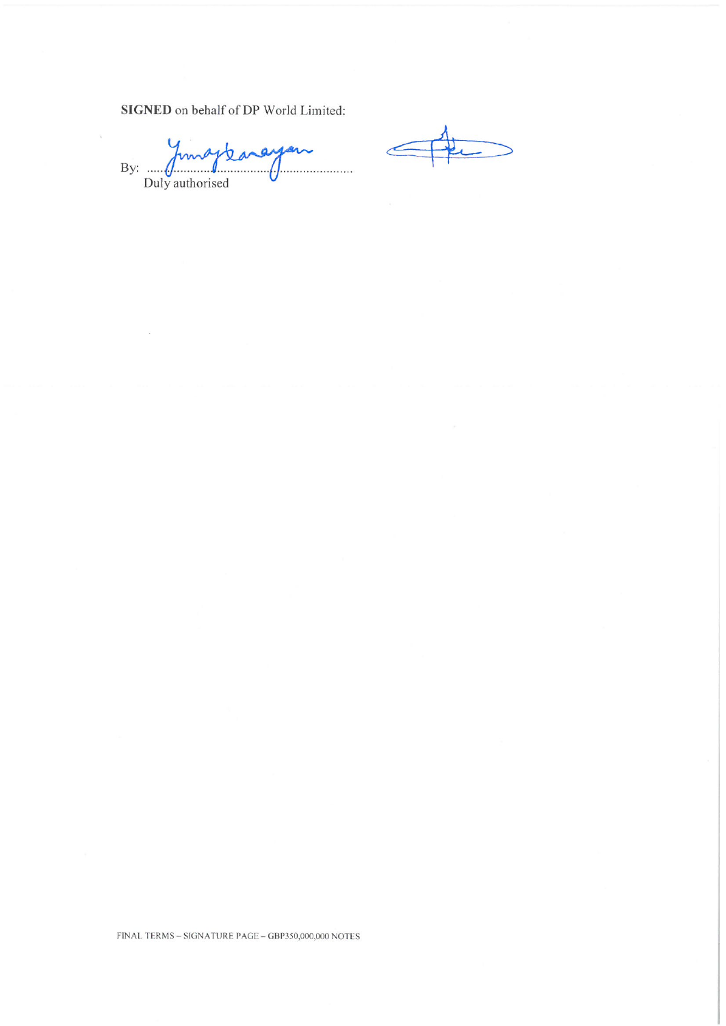SIGNED on behalf of DP World Limited:

 $\tilde{\Lambda}$ 

funagte ananyan By:  $\ldots$ Duly authorised

FINAL TERMS – SIGNATURE PAGE – GBP350,000,000 NOTES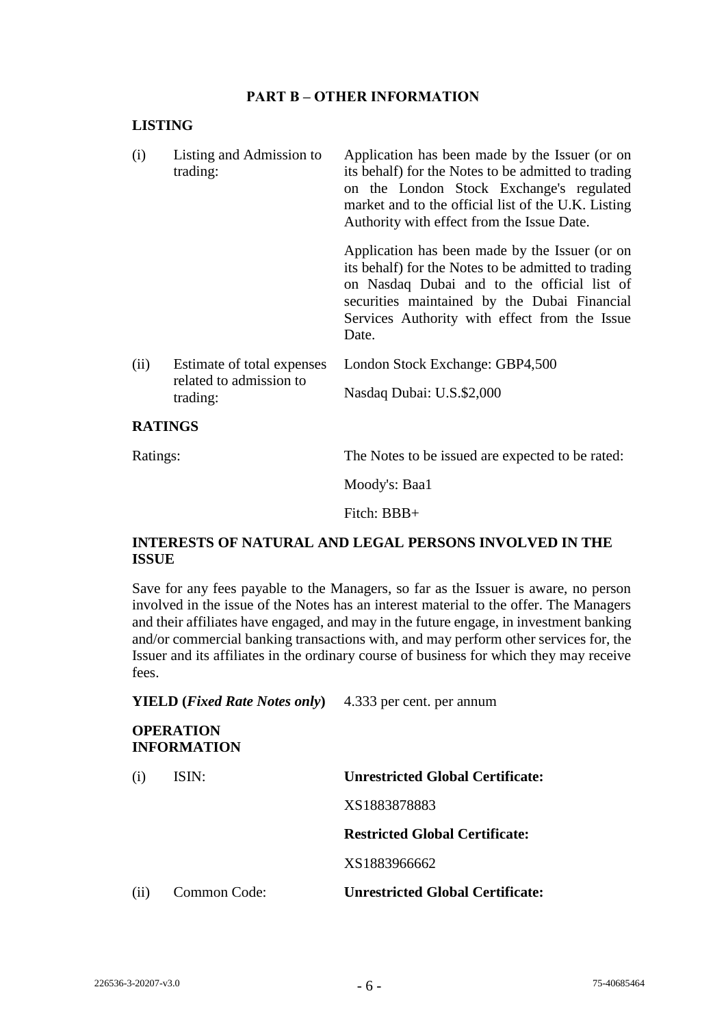#### **PART B – OTHER INFORMATION**

#### **LISTING**

| (i)  | Listing and Admission to<br>trading:                              | Application has been made by the Issuer (or on<br>its behalf) for the Notes to be admitted to trading<br>on the London Stock Exchange's regulated<br>market and to the official list of the U.K. Listing<br>Authority with effect from the Issue Date.         |
|------|-------------------------------------------------------------------|----------------------------------------------------------------------------------------------------------------------------------------------------------------------------------------------------------------------------------------------------------------|
|      |                                                                   | Application has been made by the Issuer (or on<br>its behalf) for the Notes to be admitted to trading<br>on Nasdaq Dubai and to the official list of<br>securities maintained by the Dubai Financial<br>Services Authority with effect from the Issue<br>Date. |
| (ii) | Estimate of total expenses<br>related to admission to<br>trading: | London Stock Exchange: GBP4,500<br>Nasdaq Dubai: U.S.\$2,000                                                                                                                                                                                                   |

#### **RATINGS**

Ratings: The Notes to be issued are expected to be rated:

Moody's: Baa1

Fitch: BBB+

# **INTERESTS OF NATURAL AND LEGAL PERSONS INVOLVED IN THE ISSUE**

Save for any fees payable to the Managers, so far as the Issuer is aware, no person involved in the issue of the Notes has an interest material to the offer. The Managers and their affiliates have engaged, and may in the future engage, in investment banking and/or commercial banking transactions with, and may perform other services for, the Issuer and its affiliates in the ordinary course of business for which they may receive fees.

**YIELD (***Fixed Rate Notes only***)** 4.333 per cent. per annum

# **OPERATION INFORMATION** (i) ISIN: **Unrestricted Global Certificate:** XS1883878883 **Restricted Global Certificate:** XS1883966662 (ii) Common Code: **Unrestricted Global Certificate:**